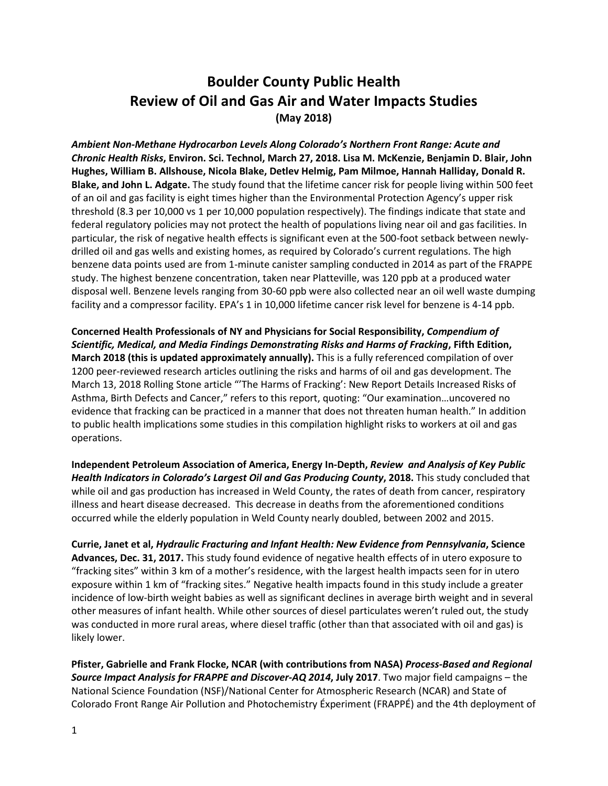## **Boulder County Public Health Review of Oil and Gas Air and Water Impacts Studies (May 2018)**

*Ambient Non-Methane Hydrocarbon Levels Along Colorado's Northern Front Range: Acute and Chronic Health Risks***, Environ. Sci. Technol, March 27, 2018. [Lisa M. McKenzie,](https://pubs.acs.org/author/McKenzie%2C+Lisa+M) [Benjamin D. Blair,](https://pubs.acs.org/author/Blair%2C+Benjamin+D) [John](https://pubs.acs.org/author/Hughes%2C+John)  [Hughes,](https://pubs.acs.org/author/Hughes%2C+John) [William B. Allshouse,](https://pubs.acs.org/author/Allshouse%2C+William+B) [Nicola Blake,](https://pubs.acs.org/author/Blake%2C+Nicola) [Detlev Helmig,](https://pubs.acs.org/author/Helmig%2C+Detlev) [Pam Milmoe,](https://pubs.acs.org/author/Milmoe%2C+Pam) [Hannah Halliday,](https://pubs.acs.org/author/Halliday%2C+Hannah) [Donald R.](https://pubs.acs.org/author/Blake%2C+Donald+R)  [Blake,](https://pubs.acs.org/author/Blake%2C+Donald+R) and [John L. Adgate.](https://pubs.acs.org/author/Adgate%2C+John+L)** The study found that the lifetime cancer risk for people living within 500 feet of an oil and gas facility is eight times higher than the Environmental Protection Agency's upper risk threshold (8.3 per 10,000 vs 1 per 10,000 population respectively). The findings indicate that state and federal regulatory policies may not protect the health of populations living near oil and gas facilities. In particular, the risk of negative health effects is significant even at the 500-foot setback between newlydrilled oil and gas wells and existing homes, as required by Colorado's current regulations. The high benzene data points used are from 1-minute canister sampling conducted in 2014 as part of the FRAPPE study. The highest benzene concentration, taken near Platteville, was 120 ppb at a produced water disposal well. Benzene levels ranging from 30-60 ppb were also collected near an oil well waste dumping facility and a compressor facility. EPA's 1 in 10,000 lifetime cancer risk level for benzene is 4-14 ppb.

**Concerned Health Professionals of NY and Physicians for Social Responsibility,** *Compendium of Scientific, Medical, and Media Findings Demonstrating Risks and Harms of Fracking***, Fifth Edition, March 2018 (this is updated approximately annually).** This is a fully referenced compilation of over 1200 peer-reviewed research articles outlining the risks and harms of oil and gas development. The March 13, 2018 Rolling Stone article "'The Harms of Fracking': New Report Details Increased Risks of Asthma, Birth Defects and Cancer," refers to this report, quoting: "Our examination…uncovered no evidence that fracking can be practiced in a manner that does not threaten human health." In addition to public health implications some studies in this compilation highlight risks to workers at oil and gas operations.

**Independent Petroleum Association of America, Energy In-Depth,** *Review and Analysis of Key Public Health Indicators in Colorado's Largest Oil and Gas Producing County***, 2018.** This study concluded that while oil and gas production has increased in Weld County, the rates of death from cancer, respiratory illness and heart disease decreased. This decrease in deaths from the aforementioned conditions occurred while the elderly population in Weld County nearly doubled, between 2002 and 2015.

**Currie, Janet et al,** *Hydraulic Fracturing and Infant Health: New Evidence from Pennsylvania***, Science Advances, Dec. 31, 2017.** This study found evidence of negative health effects of in utero exposure to "fracking sites" within 3 km of a mother's residence, with the largest health impacts seen for in utero exposure within 1 km of "fracking sites." Negative health impacts found in this study include a greater incidence of low-birth weight babies as well as significant declines in average birth weight and in several other measures of infant health. While other sources of diesel particulates weren't ruled out, the study was conducted in more rural areas, where diesel traffic (other than that associated with oil and gas) is likely lower.

**Pfister, Gabrielle and Frank Flocke, NCAR (with contributions from NASA)** *Process-Based and Regional Source Impact Analysis for FRAPPE and Discover-AQ 2014***, July 2017**. Two major field campaigns – the National Science Foundation (NSF)/National Center for Atmospheric Research (NCAR) and State of Colorado Front Range Air Pollution and Photochemistry Éxperiment (FRAPPÉ) and the 4th deployment of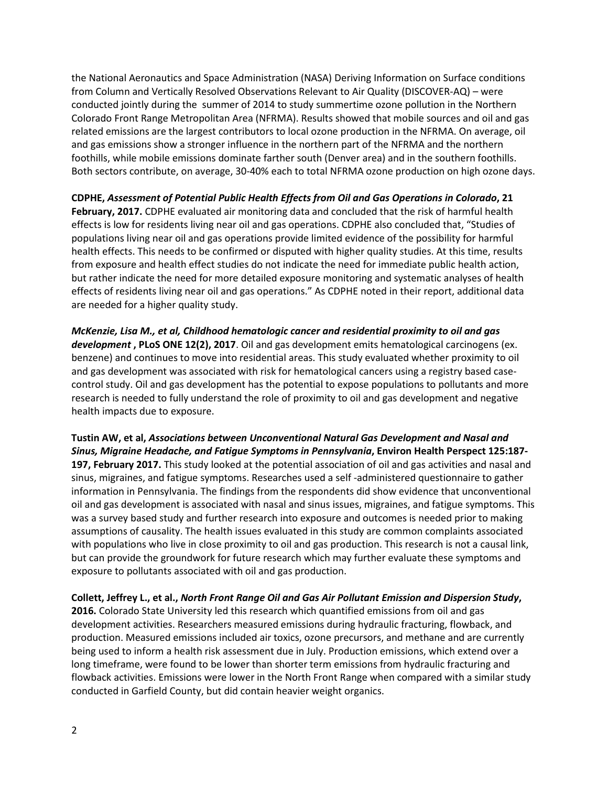the National Aeronautics and Space Administration (NASA) Deriving Information on Surface conditions from Column and Vertically Resolved Observations Relevant to Air Quality (DISCOVER-AQ) – were conducted jointly during the summer of 2014 to study summertime ozone pollution in the Northern Colorado Front Range Metropolitan Area (NFRMA). Results showed that mobile sources and oil and gas related emissions are the largest contributors to local ozone production in the NFRMA. On average, oil and gas emissions show a stronger influence in the northern part of the NFRMA and the northern foothills, while mobile emissions dominate farther south (Denver area) and in the southern foothills. Both sectors contribute, on average, 30-40% each to total NFRMA ozone production on high ozone days.

**CDPHE,** *Assessment of Potential Public Health Effects from Oil and Gas Operations in Colorado***, 21 February, 2017.** CDPHE evaluated air monitoring data and concluded that the risk of harmful health effects is low for residents living near oil and gas operations. CDPHE also concluded that, "Studies of populations living near oil and gas operations provide limited evidence of the possibility for harmful health effects. This needs to be confirmed or disputed with higher quality studies. At this time, results from exposure and health effect studies do not indicate the need for immediate public health action, but rather indicate the need for more detailed exposure monitoring and systematic analyses of health effects of residents living near oil and gas operations." As CDPHE noted in their report, additional data are needed for a higher quality study.

*McKenzie, Lisa M., et al, Childhood hematologic cancer and residential proximity to oil and gas development* **, PLoS ONE 12(2), 2017**. Oil and gas development emits hematological carcinogens (ex. benzene) and continues to move into residential areas. This study evaluated whether proximity to oil and gas development was associated with risk for hematological cancers using a registry based casecontrol study. Oil and gas development has the potential to expose populations to pollutants and more research is needed to fully understand the role of proximity to oil and gas development and negative health impacts due to exposure.

**Tustin AW, et al,** *Associations between Unconventional Natural Gas Development and Nasal and Sinus, Migraine Headache, and Fatigue Symptoms in Pennsylvania***, Environ Health Perspect 125:187- 197, February 2017.** This study looked at the potential association of oil and gas activities and nasal and sinus, migraines, and fatigue symptoms. Researches used a self -administered questionnaire to gather information in Pennsylvania. The findings from the respondents did show evidence that unconventional oil and gas development is associated with nasal and sinus issues, migraines, and fatigue symptoms. This was a survey based study and further research into exposure and outcomes is needed prior to making assumptions of causality. The health issues evaluated in this study are common complaints associated with populations who live in close proximity to oil and gas production. This research is not a causal link, but can provide the groundwork for future research which may further evaluate these symptoms and exposure to pollutants associated with oil and gas production.

**Collett, Jeffrey L., et al.,** *North Front Range Oil and Gas Air Pollutant Emission and Dispersion Study***, 2016.** Colorado State University led this research which quantified emissions from oil and gas development activities. Researchers measured emissions during hydraulic fracturing, flowback, and production. Measured emissions included air toxics, ozone precursors, and methane and are currently being used to inform a health risk assessment due in July. Production emissions, which extend over a long timeframe, were found to be lower than shorter term emissions from hydraulic fracturing and flowback activities. Emissions were lower in the North Front Range when compared with a similar study conducted in Garfield County, but did contain heavier weight organics.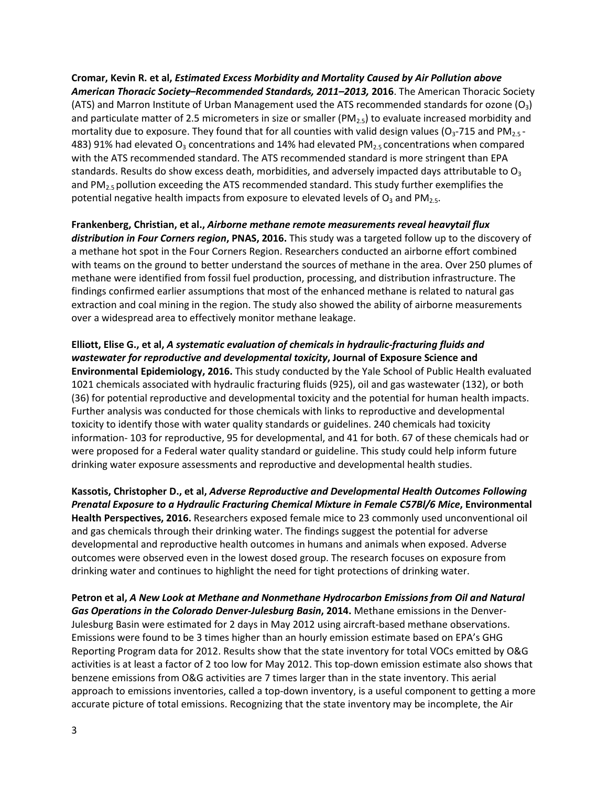**Cromar, Kevin R. et al,** *Estimated Excess Morbidity and Mortality Caused by Air Pollution above American Thoracic Society–Recommended Standards, 2011–2013,* **2016**. The American Thoracic Society (ATS) and Marron Institute of Urban Management used the ATS recommended standards for ozone  $(O_3)$ and particulate matter of 2.5 micrometers in size or smaller ( $PM_{2.5}$ ) to evaluate increased morbidity and mortality due to exposure. They found that for all counties with valid design values ( $O_3$ -715 and PM<sub>2.5</sub> -483) 91% had elevated  $O_3$  concentrations and 14% had elevated PM<sub>2.5</sub> concentrations when compared with the ATS recommended standard. The ATS recommended standard is more stringent than EPA standards. Results do show excess death, morbidities, and adversely impacted days attributable to  $O<sub>3</sub>$ and  $PM<sub>2.5</sub>$  pollution exceeding the ATS recommended standard. This study further exemplifies the potential negative health impacts from exposure to elevated levels of  $O_3$  and PM<sub>2.5</sub>.

**Frankenberg, Christian, et al.,** *Airborne methane remote measurements reveal heavytail flux distribution in Four Corners region***, PNAS, 2016.** This study was a targeted follow up to the discovery of a methane hot spot in the Four Corners Region. Researchers conducted an airborne effort combined with teams on the ground to better understand the sources of methane in the area. Over 250 plumes of methane were identified from fossil fuel production, processing, and distribution infrastructure. The findings confirmed earlier assumptions that most of the enhanced methane is related to natural gas extraction and coal mining in the region. The study also showed the ability of airborne measurements over a widespread area to effectively monitor methane leakage.

**Elliott, Elise G., et al,** *A systematic evaluation of chemicals in hydraulic-fracturing fluids and wastewater for reproductive and developmental toxicity***, Journal of Exposure Science and Environmental Epidemiology, 2016.** This study conducted by the Yale School of Public Health evaluated 1021 chemicals associated with hydraulic fracturing fluids (925), oil and gas wastewater (132), or both (36) for potential reproductive and developmental toxicity and the potential for human health impacts. Further analysis was conducted for those chemicals with links to reproductive and developmental toxicity to identify those with water quality standards or guidelines. 240 chemicals had toxicity information- 103 for reproductive, 95 for developmental, and 41 for both. 67 of these chemicals had or were proposed for a Federal water quality standard or guideline. This study could help inform future drinking water exposure assessments and reproductive and developmental health studies.

**Kassotis, Christopher D., et al,** *Adverse Reproductive and Developmental Health Outcomes Following Prenatal Exposure to a Hydraulic Fracturing Chemical Mixture in Female C57Bl/6 Mice***, Environmental Health Perspectives, 2016.** Researchers exposed female mice to 23 commonly used unconventional oil and gas chemicals through their drinking water. The findings suggest the potential for adverse developmental and reproductive health outcomes in humans and animals when exposed. Adverse outcomes were observed even in the lowest dosed group. The research focuses on exposure from drinking water and continues to highlight the need for tight protections of drinking water.

**Petron et al,** *A New Look at Methane and Nonmethane Hydrocarbon Emissions from Oil and Natural Gas Operations in the Colorado Denver-Julesburg Basin***, 2014.** Methane emissions in the Denver-Julesburg Basin were estimated for 2 days in May 2012 using aircraft-based methane observations. Emissions were found to be 3 times higher than an hourly emission estimate based on EPA's GHG Reporting Program data for 2012. Results show that the state inventory for total VOCs emitted by O&G activities is at least a factor of 2 too low for May 2012. This top-down emission estimate also shows that benzene emissions from O&G activities are 7 times larger than in the state inventory. This aerial approach to emissions inventories, called a top-down inventory, is a useful component to getting a more accurate picture of total emissions. Recognizing that the state inventory may be incomplete, the Air